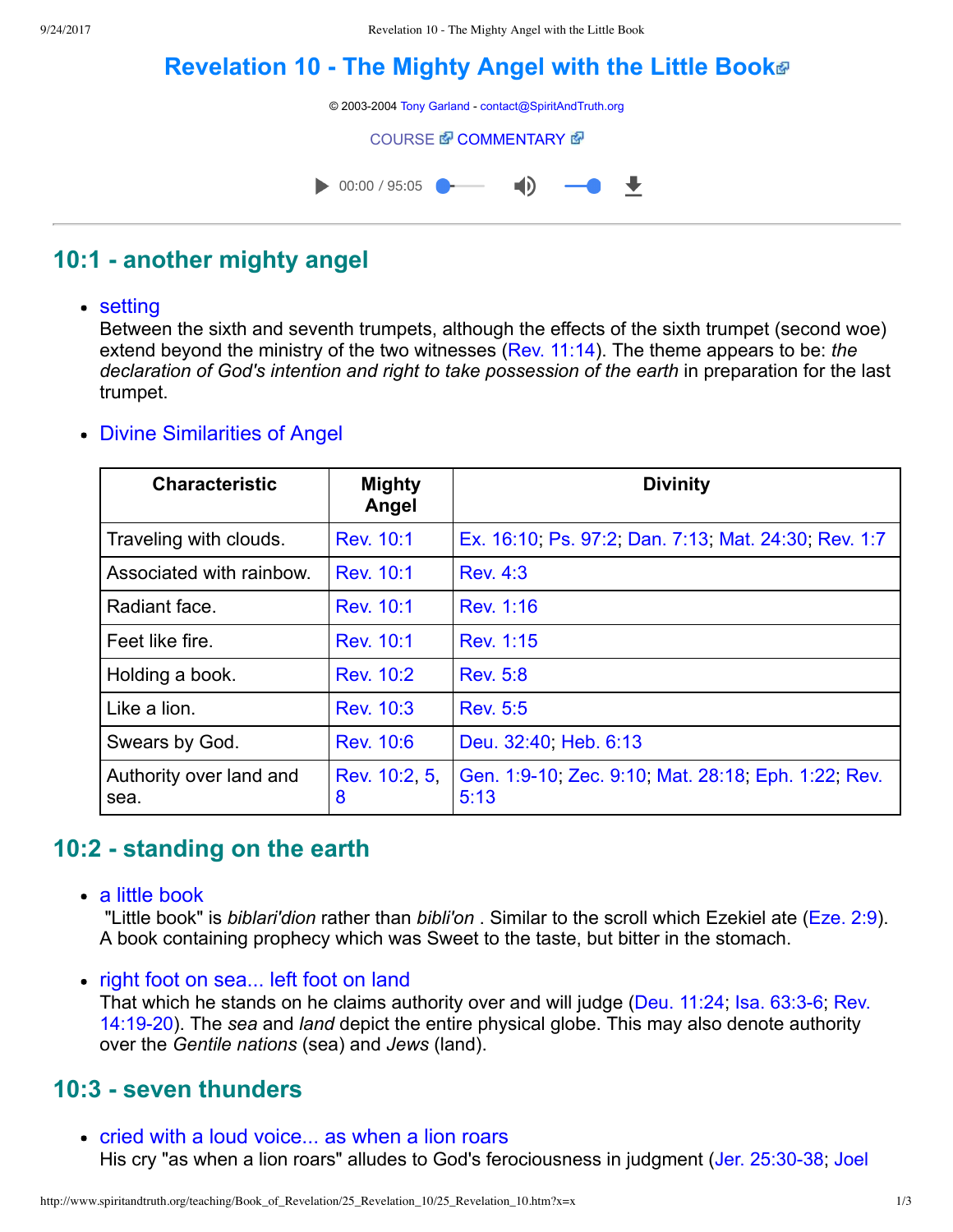# **[Revelation 10 The Mighty Angel with the Little Book](http://www.spiritandtruth.org/teaching/Book_of_Revelation/25_Revelation_10/index.htm)**

© 2003-2004 [Tony Garland](http://www.spiritandtruth.org/teaching/teachers/tony_garland/bio.htm) - [contact@SpiritAndTruth.org](mailto:contact@SpiritAndTruth.org?subject=ST-MAIL:%20Revelation%2010%20-%20The%20Mighty%20Angel%20with%20the%20Little%20Book)

**[COURSE](http://www.spiritandtruth.org/teaching/Book_of_Revelation/25_Revelation_10/index.htm) 配 [COMMENTARY](http://www.spiritandtruth.org/teaching/Book_of_Revelation/commentary/htm/index.html?Revelation_10) 图** 



# **10:1 another mighty angel**

#### • setting

Between the sixth and seventh trumpets, although the effects of the sixth trumpet (second woe) extend beyond the ministry of the two witnesses ([Rev. 11:14\)](http://www.spiritandtruth.org/bibles/nasb/b66c011.htm#Rev._C11V14). The theme appears to be: *the declaration of God's intention and right to take possession of the earth* in preparation for the last trumpet.

#### Divine Similarities of Angel

| <b>Characteristic</b>           | <b>Mighty</b><br>Angel | <b>Divinity</b>                                             |
|---------------------------------|------------------------|-------------------------------------------------------------|
| Traveling with clouds.          | Rev. 10:1              | Ex. 16:10, Ps. 97:2, Dan. 7:13, Mat. 24:30, Rev. 1:7        |
| Associated with rainbow.        | Rev. 10:1              | <b>Rev. 4:3</b>                                             |
| Radiant face.                   | Rev. 10:1              | Rev. 1:16                                                   |
| Feet like fire.                 | Rev. 10:1              | Rev. 1:15                                                   |
| Holding a book.                 | Rev. 10:2              | <b>Rev. 5:8</b>                                             |
| Like a lion.                    | Rev. 10:3              | <b>Rev. 5:5</b>                                             |
| Swears by God.                  | <b>Rev. 10:6</b>       | Deu. 32:40, Heb. 6:13                                       |
| Authority over land and<br>sea. | Rev. 10:2 5<br>8       | Gen. 1:9-10, Zec. 9:10, Mat. 28:18, Eph. 1:22, Rev.<br>5:13 |

# **10:2 standing on the earth**

a little book

 "Little book" is *biblari'dion* rather than *bibli'on* . Similar to the scroll which Ezekiel ate ([Eze. 2:9\)](http://www.spiritandtruth.org/bibles/nasb/b26c002.htm#Eze._C2V9). A book containing prophecy which was Sweet to the taste, but bitter in the stomach.

• right foot on sea... left foot on land That which he stands on he claims authority over and will judge (Deu. 11:24; Isa. 63:3-6; Rev. 14:1920). The *sea* and *land* depict the entire physical globe. This may also denote authority over the *Gentile nations* (sea) and *Jews* (land).

### **10:3 seven thunders**

• cried with a loud voice... as when a lion roars His cry "as when a lion roars" alludes to God's ferociousness in judgment (Jer. 25:30-38; Joel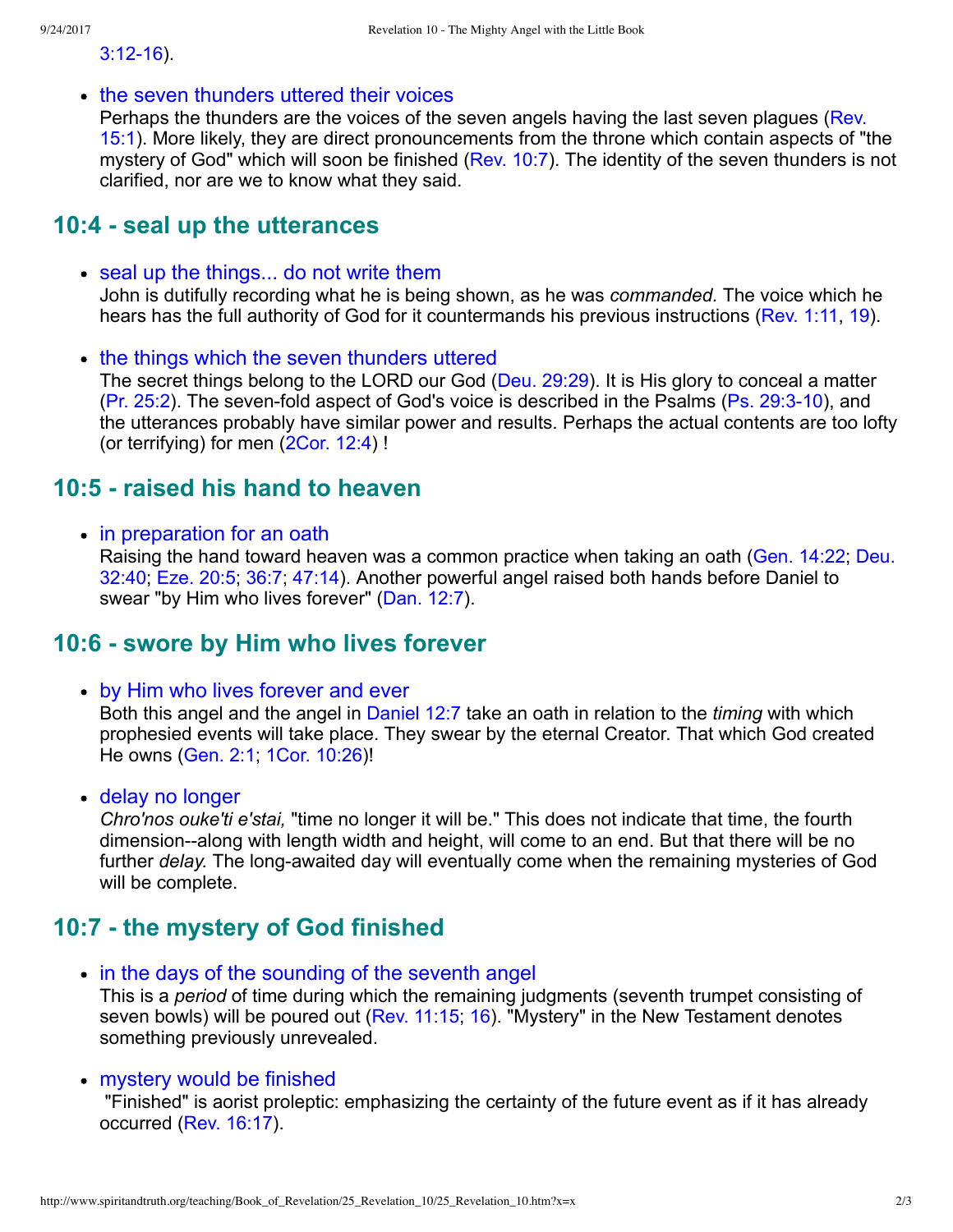$3:12-16$ ).

• the seven thunders uttered their voices

[Perhaps the thunders are the voices of the seven angels having the last seven plagues \(Rev.](http://www.spiritandtruth.org/bibles/nasb/b66c015.htm#Rev._C15V1) 15:1). More likely, they are direct pronouncements from the throne which contain aspects of "the mystery of God" which will soon be finished ([Rev. 10:7](http://www.spiritandtruth.org/bibles/nasb/b66c010.htm#Rev._C10V7)). The identity of the seven thunders is not clarified, nor are we to know what they said.

#### **10:4 seal up the utterances**

- seal up the things... do not write them John is dutifully recording what he is being shown, as he was *commanded.* The voice which he hears has the full authority of God for it countermands his previous instructions ([Rev. 1:11,](http://www.spiritandtruth.org/bibles/nasb/b66c001.htm#Rev._C1V11) [19\)](http://www.spiritandtruth.org/bibles/nasb/b66c001.htm#Rev._C1V19).
- the things which the seven thunders uttered The secret things belong to the LORD our God ([Deu. 29:29\)](http://www.spiritandtruth.org/bibles/nasb/b05c029.htm#Deu._C29V29). It is His glory to conceal a matter [\(Pr. 25:2](http://www.spiritandtruth.org/bibles/nasb/b20c025.htm#Pr._C25V2)). The seven-fold aspect of God's voice is described in the Psalms (Ps.  $29:3-10$ ), and the utterances probably have similar power and results. Perhaps the actual contents are too lofty (or terrifying) for men [\(2Cor. 12:4\)](http://www.spiritandtruth.org/bibles/nasb/b47c012.htm#2Cor._C12V4) !

#### **10:5 raised his hand to heaven**

• in preparation for an oath

[Raising the hand toward heaven was a common practice when taking an oath \(Gen. 14:22; Deu.](http://www.spiritandtruth.org/bibles/nasb/b05c032.htm#Deu._C32V40) 32:40; [Eze. 20:5;](http://www.spiritandtruth.org/bibles/nasb/b26c020.htm#Eze._C20V5) [36:7;](http://www.spiritandtruth.org/bibles/nasb/b26c036.htm#Eze._C36V7) [47:14](http://www.spiritandtruth.org/bibles/nasb/b26c047.htm#Eze._C47V14)). Another powerful angel raised both hands before Daniel to swear "by Him who lives forever" [\(Dan. 12:7](http://www.spiritandtruth.org/bibles/nasb/b27c012.htm#Dan._C12V7)).

#### **10:6 swore by Him who lives forever**

by Him who lives forever and ever

Both this angel and the angel in [Daniel 12:7](http://www.spiritandtruth.org/bibles/nasb/b27c012.htm#Dan._C12V7) take an oath in relation to the *timing* with which prophesied events will take place. They swear by the eternal Creator. That which God created He owns [\(Gen. 2:1](http://www.spiritandtruth.org/bibles/nasb/b01c002.htm#Gen._C2V1); [1Cor. 10:26\)](http://www.spiritandtruth.org/bibles/nasb/b46c010.htm#1Cor._C10V26)!

delay no longer

*Chro'nos ouke'ti e'stai,* "time no longer it will be." This does not indicate that time, the fourth dimension--along with length width and height, will come to an end. But that there will be no further *delay*. The long-awaited day will eventually come when the remaining mysteries of God will be complete.

### **10:7 the mystery of God finished**

• in the days of the sounding of the seventh angel This is a *period* of time during which the remaining judgments (seventh trumpet consisting of seven bowls) will be poured out ([Rev. 11:15](http://www.spiritandtruth.org/bibles/nasb/b66c011.htm#Rev._C11V15); [16\)](http://www.spiritandtruth.org/bibles/nasb/b66c016.htm#Rev._C16V1). "Mystery" in the New Testament denotes something previously unrevealed.

#### mystery would be finished

 "Finished" is aorist proleptic: emphasizing the certainty of the future event as if it has already occurred [\(Rev. 16:17](http://www.spiritandtruth.org/bibles/nasb/b66c016.htm#Rev._C16V17)).